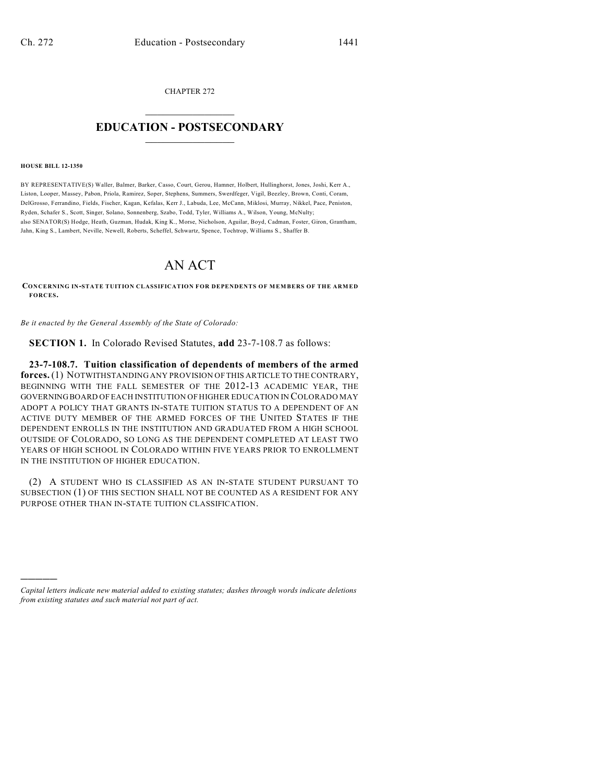CHAPTER 272

## $\overline{\phantom{a}}$  . The set of the set of the set of the set of the set of the set of the set of the set of the set of the set of the set of the set of the set of the set of the set of the set of the set of the set of the set o **EDUCATION - POSTSECONDARY**  $\frac{1}{2}$  ,  $\frac{1}{2}$  ,  $\frac{1}{2}$  ,  $\frac{1}{2}$  ,  $\frac{1}{2}$  ,  $\frac{1}{2}$  ,  $\frac{1}{2}$

**HOUSE BILL 12-1350**

)))))

BY REPRESENTATIVE(S) Waller, Balmer, Barker, Casso, Court, Gerou, Hamner, Holbert, Hullinghorst, Jones, Joshi, Kerr A., Liston, Looper, Massey, Pabon, Priola, Ramirez, Soper, Stephens, Summers, Swerdfeger, Vigil, Beezley, Brown, Conti, Coram, DelGrosso, Ferrandino, Fields, Fischer, Kagan, Kefalas, Kerr J., Labuda, Lee, McCann, Miklosi, Murray, Nikkel, Pace, Peniston, Ryden, Schafer S., Scott, Singer, Solano, Sonnenberg, Szabo, Todd, Tyler, Williams A., Wilson, Young, McNulty; also SENATOR(S) Hodge, Heath, Guzman, Hudak, King K., Morse, Nicholson, Aguilar, Boyd, Cadman, Foster, Giron, Grantham, Jahn, King S., Lambert, Neville, Newell, Roberts, Scheffel, Schwartz, Spence, Tochtrop, Williams S., Shaffer B.

## AN ACT

**CONCERNING IN-STATE TUITION CLASSIFICATION FOR DEPENDENTS OF MEMBERS OF THE ARMED FORCES.**

*Be it enacted by the General Assembly of the State of Colorado:*

**SECTION 1.** In Colorado Revised Statutes, **add** 23-7-108.7 as follows:

**23-7-108.7. Tuition classification of dependents of members of the armed forces.** (1) NOTWITHSTANDING ANY PROVISION OF THIS ARTICLE TO THE CONTRARY, BEGINNING WITH THE FALL SEMESTER OF THE 2012-13 ACADEMIC YEAR, THE GOVERNINGBOARD OF EACH INSTITUTION OF HIGHER EDUCATION IN COLORADO MAY ADOPT A POLICY THAT GRANTS IN-STATE TUITION STATUS TO A DEPENDENT OF AN ACTIVE DUTY MEMBER OF THE ARMED FORCES OF THE UNITED STATES IF THE DEPENDENT ENROLLS IN THE INSTITUTION AND GRADUATED FROM A HIGH SCHOOL OUTSIDE OF COLORADO, SO LONG AS THE DEPENDENT COMPLETED AT LEAST TWO YEARS OF HIGH SCHOOL IN COLORADO WITHIN FIVE YEARS PRIOR TO ENROLLMENT IN THE INSTITUTION OF HIGHER EDUCATION.

(2) A STUDENT WHO IS CLASSIFIED AS AN IN-STATE STUDENT PURSUANT TO SUBSECTION (1) OF THIS SECTION SHALL NOT BE COUNTED AS A RESIDENT FOR ANY PURPOSE OTHER THAN IN-STATE TUITION CLASSIFICATION.

*Capital letters indicate new material added to existing statutes; dashes through words indicate deletions from existing statutes and such material not part of act.*